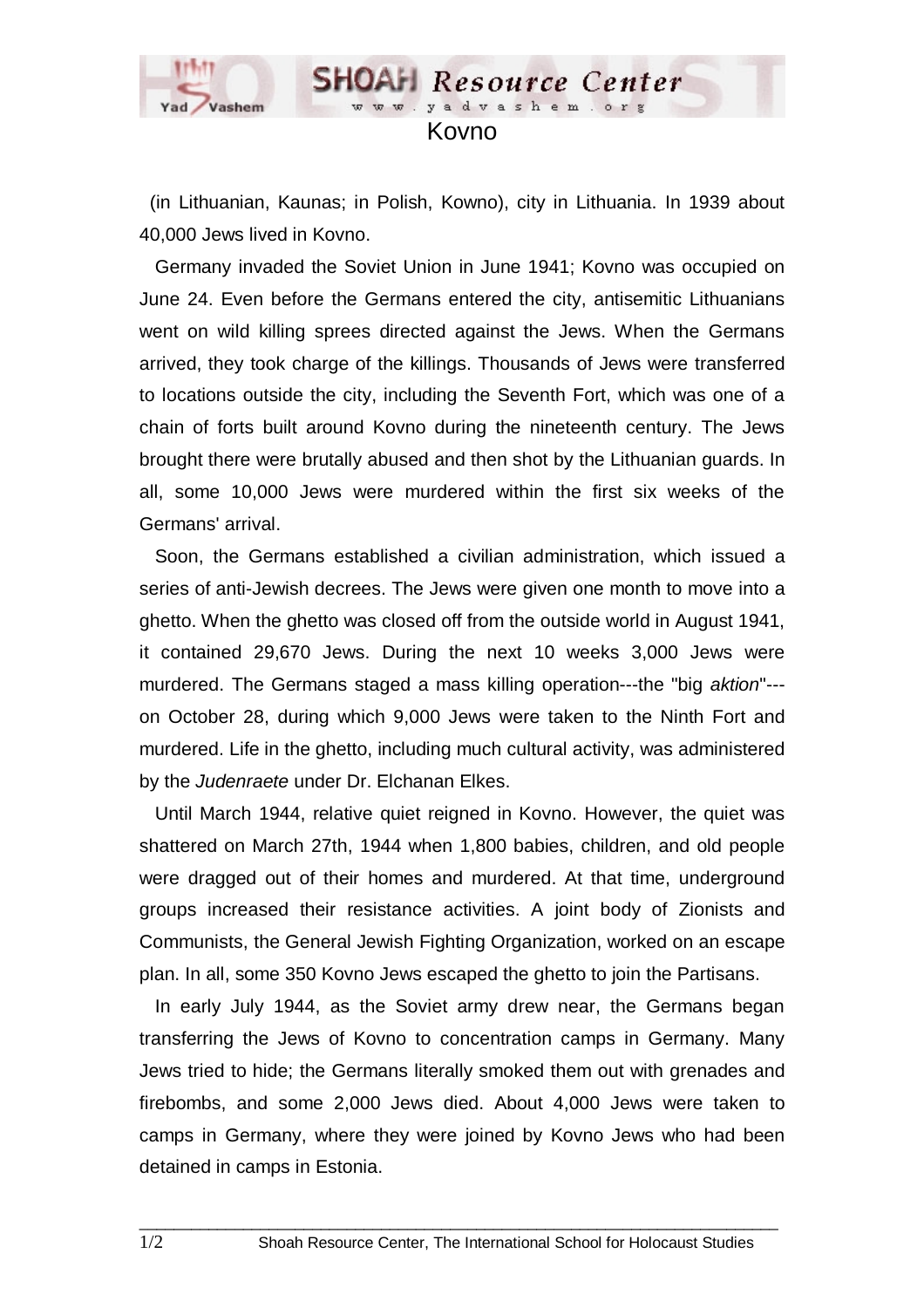

 (in Lithuanian, Kaunas; in Polish, Kowno), city in Lithuania. In 1939 about 40,000 Jews lived in Kovno.

 Germany invaded the Soviet Union in June 1941; Kovno was occupied on June 24. Even before the Germans entered the city, antisemitic Lithuanians went on wild killing sprees directed against the Jews. When the Germans arrived, they took charge of the killings. Thousands of Jews were transferred to locations outside the city, including the Seventh Fort, which was one of a chain of forts built around Kovno during the nineteenth century. The Jews brought there were brutally abused and then shot by the Lithuanian guards. In all, some 10,000 Jews were murdered within the first six weeks of the Germans' arrival.

 Soon, the Germans established a civilian administration, which issued a series of anti-Jewish decrees. The Jews were given one month to move into a ghetto. When the ghetto was closed off from the outside world in August 1941, it contained 29,670 Jews. During the next 10 weeks 3,000 Jews were murdered. The Germans staged a mass killing operation---the "big *aktion*"-- on October 28, during which 9,000 Jews were taken to the Ninth Fort and murdered. Life in the ghetto, including much cultural activity, was administered by the *Judenraete* under Dr. Elchanan Elkes.

 Until March 1944, relative quiet reigned in Kovno. However, the quiet was shattered on March 27th, 1944 when 1,800 babies, children, and old people were dragged out of their homes and murdered. At that time, underground groups increased their resistance activities. A joint body of Zionists and Communists, the General Jewish Fighting Organization, worked on an escape plan. In all, some 350 Kovno Jews escaped the ghetto to join the Partisans.

 In early July 1944, as the Soviet army drew near, the Germans began transferring the Jews of Kovno to concentration camps in Germany. Many Jews tried to hide; the Germans literally smoked them out with grenades and firebombs, and some 2,000 Jews died. About 4,000 Jews were taken to camps in Germany, where they were joined by Kovno Jews who had been detained in camps in Estonia.

 $\Box$  . The contribution of the contribution of the contribution of the contribution of the contribution of the contribution of the contribution of the contribution of the contribution of the contribution of the contributi